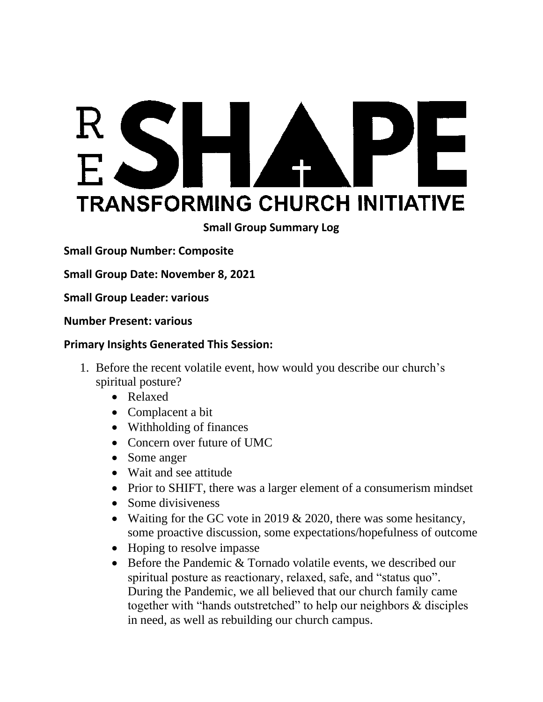# RSH PE A **TRANSFORMING CHURCH INITIATIVE**

**Small Group Summary Log**

**Small Group Number: Composite**

**Small Group Date: November 8, 2021**

**Small Group Leader: various**

**Number Present: various**

#### **Primary Insights Generated This Session:**

- 1. Before the recent volatile event, how would you describe our church's spiritual posture?
	- Relaxed
	- Complacent a bit
	- Withholding of finances
	- Concern over future of UMC
	- Some anger
	- Wait and see attitude
	- Prior to SHIFT, there was a larger element of a consumerism mindset
	- Some divisiveness
	- Waiting for the GC vote in 2019  $& 2020$ , there was some hesitancy, some proactive discussion, some expectations/hopefulness of outcome
	- Hoping to resolve impasse
	- Before the Pandemic & Tornado volatile events, we described our spiritual posture as reactionary, relaxed, safe, and "status quo". During the Pandemic, we all believed that our church family came together with "hands outstretched" to help our neighbors & disciples in need, as well as rebuilding our church campus.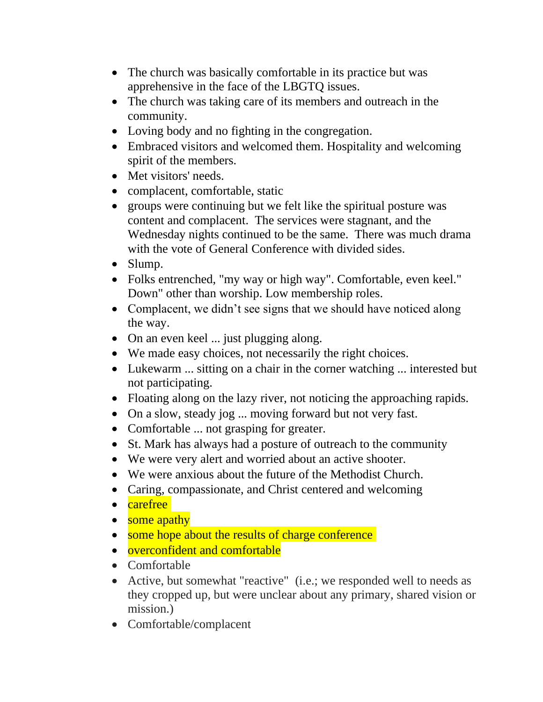- The church was basically comfortable in its practice but was apprehensive in the face of the LBGTQ issues.
- The church was taking care of its members and outreach in the community.
- Loving body and no fighting in the congregation.
- Embraced visitors and welcomed them. Hospitality and welcoming spirit of the members.
- Met visitors' needs.
- complacent, comfortable, static
- groups were continuing but we felt like the spiritual posture was content and complacent. The services were stagnant, and the Wednesday nights continued to be the same. There was much drama with the vote of General Conference with divided sides.
- Slump.
- Folks entrenched, "my way or high way". Comfortable, even keel." Down" other than worship. Low membership roles.
- Complacent, we didn't see signs that we should have noticed along the way.
- On an even keel ... just plugging along.
- We made easy choices, not necessarily the right choices.
- Lukewarm ... sitting on a chair in the corner watching ... interested but not participating.
- Floating along on the lazy river, not noticing the approaching rapids.
- On a slow, steady jog ... moving forward but not very fast.
- Comfortable ... not grasping for greater.
- St. Mark has always had a posture of outreach to the community
- We were very alert and worried about an active shooter.
- We were anxious about the future of the Methodist Church.
- Caring, compassionate, and Christ centered and welcoming
- carefree
- some apathy
- some hope about the results of charge conference
- overconfident and comfortable
- Comfortable
- Active, but somewhat "reactive" (i.e.; we responded well to needs as they cropped up, but were unclear about any primary, shared vision or mission.)
- Comfortable/complacent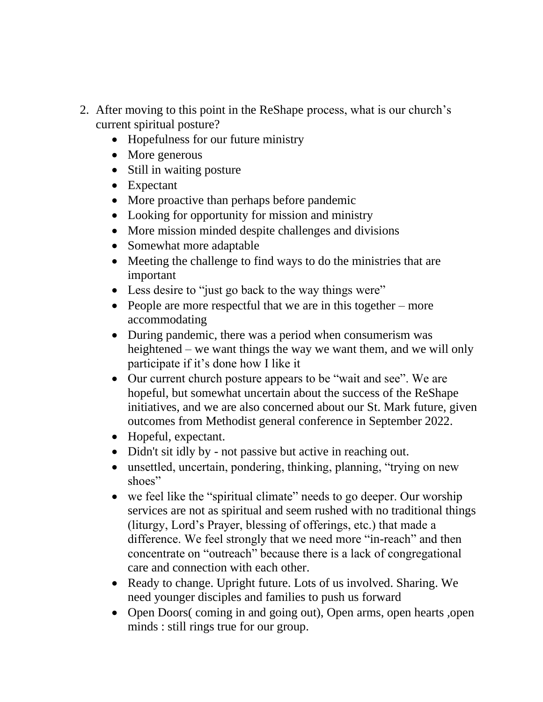- 2. After moving to this point in the ReShape process, what is our church's current spiritual posture?
	- Hopefulness for our future ministry
	- More generous
	- Still in waiting posture
	- Expectant
	- More proactive than perhaps before pandemic
	- Looking for opportunity for mission and ministry
	- More mission minded despite challenges and divisions
	- Somewhat more adaptable
	- Meeting the challenge to find ways to do the ministries that are important
	- Less desire to "just go back to the way things were"
	- People are more respectful that we are in this together more accommodating
	- During pandemic, there was a period when consumerism was heightened – we want things the way we want them, and we will only participate if it's done how I like it
	- Our current church posture appears to be "wait and see". We are hopeful, but somewhat uncertain about the success of the ReShape initiatives, and we are also concerned about our St. Mark future, given outcomes from Methodist general conference in September 2022.
	- Hopeful, expectant.
	- Didn't sit idly by not passive but active in reaching out.
	- unsettled, uncertain, pondering, thinking, planning, "trying on new shoes"
	- we feel like the "spiritual climate" needs to go deeper. Our worship services are not as spiritual and seem rushed with no traditional things (liturgy, Lord's Prayer, blessing of offerings, etc.) that made a difference. We feel strongly that we need more "in-reach" and then concentrate on "outreach" because there is a lack of congregational care and connection with each other.
	- Ready to change. Upright future. Lots of us involved. Sharing. We need younger disciples and families to push us forward
	- Open Doors( coming in and going out), Open arms, open hearts ,open minds : still rings true for our group.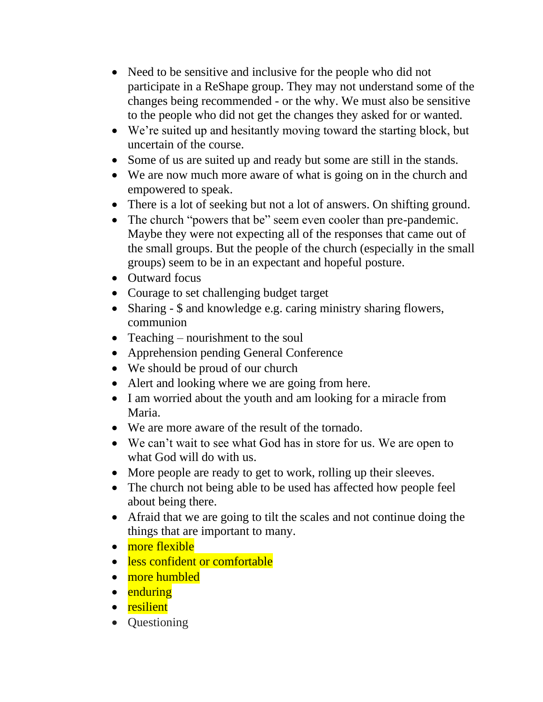- Need to be sensitive and inclusive for the people who did not participate in a ReShape group. They may not understand some of the changes being recommended - or the why. We must also be sensitive to the people who did not get the changes they asked for or wanted.
- We're suited up and hesitantly moving toward the starting block, but uncertain of the course.
- Some of us are suited up and ready but some are still in the stands.
- We are now much more aware of what is going on in the church and empowered to speak.
- There is a lot of seeking but not a lot of answers. On shifting ground.
- The church "powers that be" seem even cooler than pre-pandemic. Maybe they were not expecting all of the responses that came out of the small groups. But the people of the church (especially in the small groups) seem to be in an expectant and hopeful posture.
- Outward focus
- Courage to set challenging budget target
- Sharing \$ and knowledge e.g. caring ministry sharing flowers, communion
- Teaching nourishment to the soul
- Apprehension pending General Conference
- We should be proud of our church
- Alert and looking where we are going from here.
- I am worried about the youth and am looking for a miracle from Maria.
- We are more aware of the result of the tornado.
- We can't wait to see what God has in store for us. We are open to what God will do with us.
- More people are ready to get to work, rolling up their sleeves.
- The church not being able to be used has affected how people feel about being there.
- Afraid that we are going to tilt the scales and not continue doing the things that are important to many.
- more flexible
- less confident or comfortable
- more humbled
- enduring
- resilient
- Questioning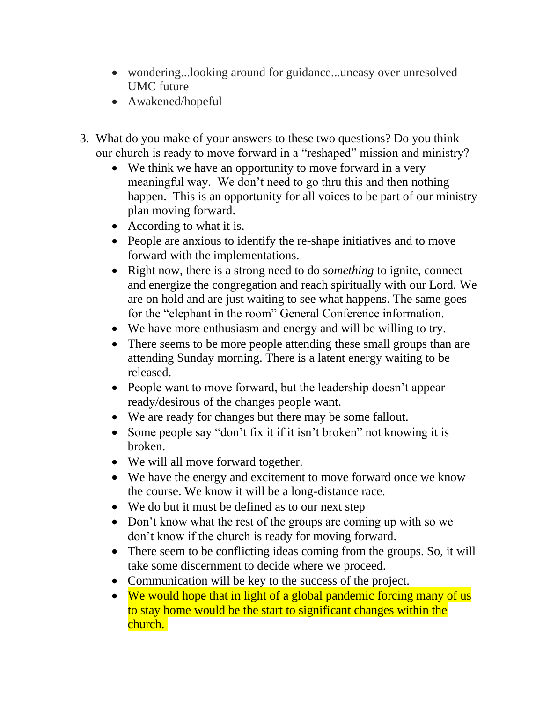- wondering...looking around for guidance...uneasy over unresolved UMC future
- Awakened/hopeful
- 3. What do you make of your answers to these two questions? Do you think our church is ready to move forward in a "reshaped" mission and ministry?
	- We think we have an opportunity to move forward in a very meaningful way. We don't need to go thru this and then nothing happen. This is an opportunity for all voices to be part of our ministry plan moving forward.
	- According to what it is.
	- People are anxious to identify the re-shape initiatives and to move forward with the implementations.
	- Right now, there is a strong need to do *something* to ignite, connect and energize the congregation and reach spiritually with our Lord. We are on hold and are just waiting to see what happens. The same goes for the "elephant in the room" General Conference information.
	- We have more enthusiasm and energy and will be willing to try.
	- There seems to be more people attending these small groups than are attending Sunday morning. There is a latent energy waiting to be released.
	- People want to move forward, but the leadership doesn't appear ready/desirous of the changes people want.
	- We are ready for changes but there may be some fallout.
	- Some people say "don't fix it if it isn't broken" not knowing it is broken.
	- We will all move forward together.
	- We have the energy and excitement to move forward once we know the course. We know it will be a long-distance race.
	- We do but it must be defined as to our next step
	- Don't know what the rest of the groups are coming up with so we don't know if the church is ready for moving forward.
	- There seem to be conflicting ideas coming from the groups. So, it will take some discernment to decide where we proceed.
	- Communication will be key to the success of the project.
	- We would hope that in light of a global pandemic forcing many of us to stay home would be the start to significant changes within the church.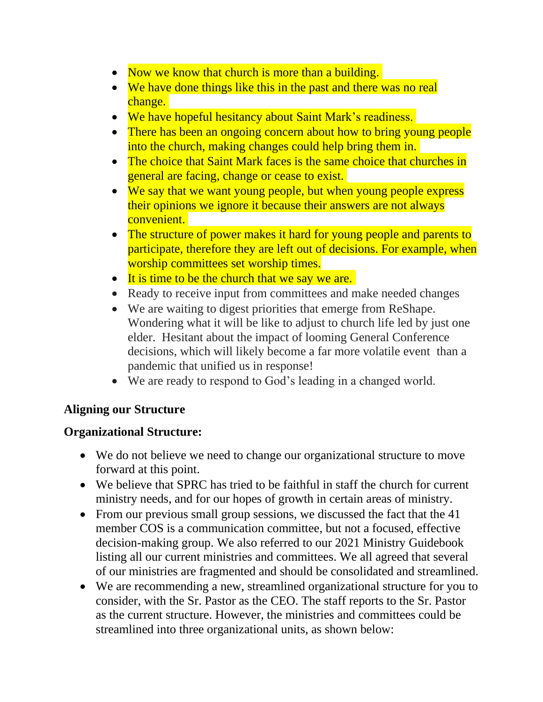- Now we know that church is more than a building.
- We have done things like this in the past and there was no real change.
- We have hopeful hesitancy about Saint Mark's readiness.
- There has been an ongoing concern about how to bring young people into the church, making changes could help bring them in.
- The choice that Saint Mark faces is the same choice that churches in general are facing, change or cease to exist.
- We say that we want young people, but when young people express their opinions we ignore it because their answers are not always convenient.
- The structure of power makes it hard for young people and parents to participate, therefore they are left out of decisions. For example, when worship committees set worship times.
- It is time to be the church that we say we are.
- Ready to receive input from committees and make needed changes
- We are waiting to digest priorities that emerge from ReShape. Wondering what it will be like to adjust to church life led by just one elder. Hesitant about the impact of looming General Conference decisions, which will likely become a far more volatile event than a pandemic that unified us in response!
- We are ready to respond to God's leading in a changed world.

# **Aligning our Structure**

# **Organizational Structure:**

- We do not believe we need to change our organizational structure to move forward at this point.
- We believe that SPRC has tried to be faithful in staff the church for current ministry needs, and for our hopes of growth in certain areas of ministry.
- From our previous small group sessions, we discussed the fact that the 41 member COS is a communication committee, but not a focused, effective decision-making group. We also referred to our 2021 Ministry Guidebook listing all our current ministries and committees. We all agreed that several of our ministries are fragmented and should be consolidated and streamlined.
- We are recommending a new, streamlined organizational structure for you to consider, with the Sr. Pastor as the CEO. The staff reports to the Sr. Pastor as the current structure. However, the ministries and committees could be streamlined into three organizational units, as shown below: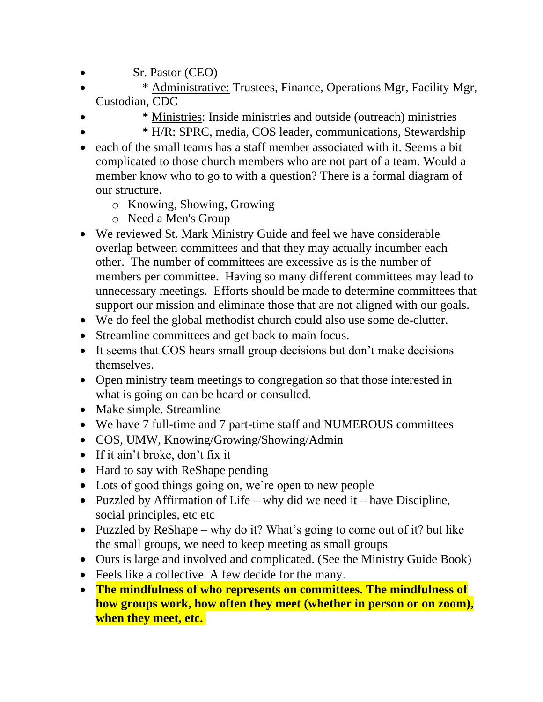- Sr. Pastor (CEO)
- \* Administrative: Trustees, Finance, Operations Mgr, Facility Mgr, Custodian, CDC
- \* Ministries: Inside ministries and outside (outreach) ministries
	- \* H/R: SPRC, media, COS leader, communications, Stewardship
- each of the small teams has a staff member associated with it. Seems a bit complicated to those church members who are not part of a team. Would a member know who to go to with a question? There is a formal diagram of our structure.
	- o Knowing, Showing, Growing
	- o Need a Men's Group
- We reviewed St. Mark Ministry Guide and feel we have considerable overlap between committees and that they may actually incumber each other. The number of committees are excessive as is the number of members per committee. Having so many different committees may lead to unnecessary meetings. Efforts should be made to determine committees that support our mission and eliminate those that are not aligned with our goals.
- We do feel the global methodist church could also use some de-clutter.
- Streamline committees and get back to main focus.
- It seems that COS hears small group decisions but don't make decisions themselves.
- Open ministry team meetings to congregation so that those interested in what is going on can be heard or consulted.
- Make simple. Streamline
- We have 7 full-time and 7 part-time staff and NUMEROUS committees
- COS, UMW, Knowing/Growing/Showing/Admin
- If it ain't broke, don't fix it
- Hard to say with ReShape pending
- Lots of good things going on, we're open to new people
- Puzzled by Affirmation of Life why did we need it have Discipline, social principles, etc etc
- Puzzled by ReShape why do it? What's going to come out of it? but like the small groups, we need to keep meeting as small groups
- Ours is large and involved and complicated. (See the Ministry Guide Book)
- Feels like a collective. A few decide for the many.
- **The mindfulness of who represents on committees. The mindfulness of how groups work, how often they meet (whether in person or on zoom), when they meet, etc.**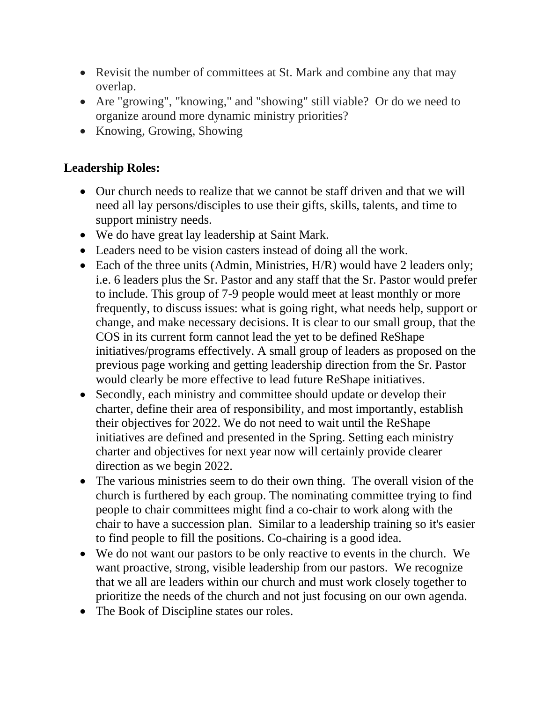- Revisit the number of committees at St. Mark and combine any that may overlap.
- Are "growing", "knowing," and "showing" still viable? Or do we need to organize around more dynamic ministry priorities?
- Knowing, Growing, Showing

#### **Leadership Roles:**

- Our church needs to realize that we cannot be staff driven and that we will need all lay persons/disciples to use their gifts, skills, talents, and time to support ministry needs.
- We do have great lay leadership at Saint Mark.
- Leaders need to be vision casters instead of doing all the work.
- Each of the three units (Admin, Ministries, H/R) would have 2 leaders only; i.e. 6 leaders plus the Sr. Pastor and any staff that the Sr. Pastor would prefer to include. This group of 7-9 people would meet at least monthly or more frequently, to discuss issues: what is going right, what needs help, support or change, and make necessary decisions. It is clear to our small group, that the COS in its current form cannot lead the yet to be defined ReShape initiatives/programs effectively. A small group of leaders as proposed on the previous page working and getting leadership direction from the Sr. Pastor would clearly be more effective to lead future ReShape initiatives.
- Secondly, each ministry and committee should update or develop their charter, define their area of responsibility, and most importantly, establish their objectives for 2022. We do not need to wait until the ReShape initiatives are defined and presented in the Spring. Setting each ministry charter and objectives for next year now will certainly provide clearer direction as we begin 2022.
- The various ministries seem to do their own thing. The overall vision of the church is furthered by each group. The nominating committee trying to find people to chair committees might find a co-chair to work along with the chair to have a succession plan. Similar to a leadership training so it's easier to find people to fill the positions. Co-chairing is a good idea.
- We do not want our pastors to be only reactive to events in the church. We want proactive, strong, visible leadership from our pastors. We recognize that we all are leaders within our church and must work closely together to prioritize the needs of the church and not just focusing on our own agenda.
- The Book of Discipline states our roles.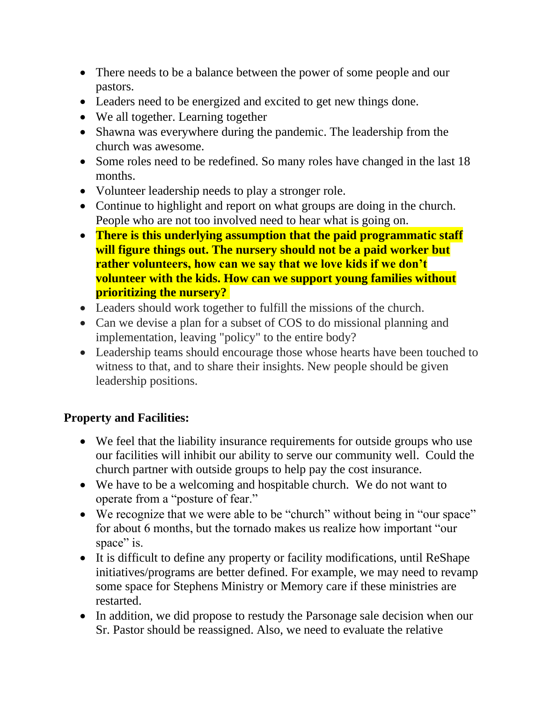- There needs to be a balance between the power of some people and our pastors.
- Leaders need to be energized and excited to get new things done.
- We all together. Learning together
- Shawna was everywhere during the pandemic. The leadership from the church was awesome.
- Some roles need to be redefined. So many roles have changed in the last 18 months.
- Volunteer leadership needs to play a stronger role.
- Continue to highlight and report on what groups are doing in the church. People who are not too involved need to hear what is going on.
- **There is this underlying assumption that the paid programmatic staff will figure things out. The nursery should not be a paid worker but rather volunteers, how can we say that we love kids if we don't volunteer with the kids. How can we support young families without prioritizing the nursery?**
- Leaders should work together to fulfill the missions of the church.
- Can we devise a plan for a subset of COS to do missional planning and implementation, leaving "policy" to the entire body?
- Leadership teams should encourage those whose hearts have been touched to witness to that, and to share their insights. New people should be given leadership positions.

#### **Property and Facilities:**

- We feel that the liability insurance requirements for outside groups who use our facilities will inhibit our ability to serve our community well. Could the church partner with outside groups to help pay the cost insurance.
- We have to be a welcoming and hospitable church. We do not want to operate from a "posture of fear."
- We recognize that we were able to be "church" without being in "our space" for about 6 months, but the tornado makes us realize how important "our space" is.
- It is difficult to define any property or facility modifications, until ReShape initiatives/programs are better defined. For example, we may need to revamp some space for Stephens Ministry or Memory care if these ministries are restarted.
- In addition, we did propose to restudy the Parsonage sale decision when our Sr. Pastor should be reassigned. Also, we need to evaluate the relative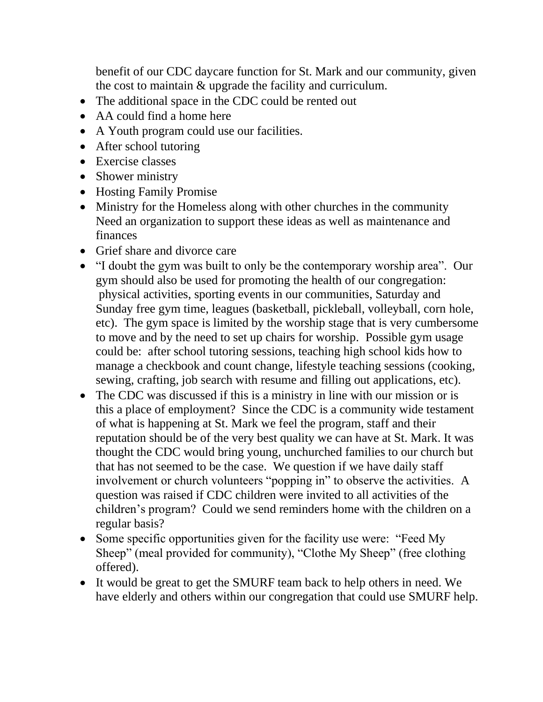benefit of our CDC daycare function for St. Mark and our community, given the cost to maintain & upgrade the facility and curriculum.

- The additional space in the CDC could be rented out
- AA could find a home here
- A Youth program could use our facilities.
- After school tutoring
- Exercise classes
- Shower ministry
- Hosting Family Promise
- Ministry for the Homeless along with other churches in the community Need an organization to support these ideas as well as maintenance and finances
- Grief share and divorce care
- "I doubt the gym was built to only be the contemporary worship area". Our gym should also be used for promoting the health of our congregation: physical activities, sporting events in our communities, Saturday and Sunday free gym time, leagues (basketball, pickleball, volleyball, corn hole, etc). The gym space is limited by the worship stage that is very cumbersome to move and by the need to set up chairs for worship. Possible gym usage could be: after school tutoring sessions, teaching high school kids how to manage a checkbook and count change, lifestyle teaching sessions (cooking, sewing, crafting, job search with resume and filling out applications, etc).
- The CDC was discussed if this is a ministry in line with our mission or is this a place of employment? Since the CDC is a community wide testament of what is happening at St. Mark we feel the program, staff and their reputation should be of the very best quality we can have at St. Mark. It was thought the CDC would bring young, unchurched families to our church but that has not seemed to be the case. We question if we have daily staff involvement or church volunteers "popping in" to observe the activities. A question was raised if CDC children were invited to all activities of the children's program? Could we send reminders home with the children on a regular basis?
- Some specific opportunities given for the facility use were: "Feed My Sheep" (meal provided for community), "Clothe My Sheep" (free clothing offered).
- It would be great to get the SMURF team back to help others in need. We have elderly and others within our congregation that could use SMURF help.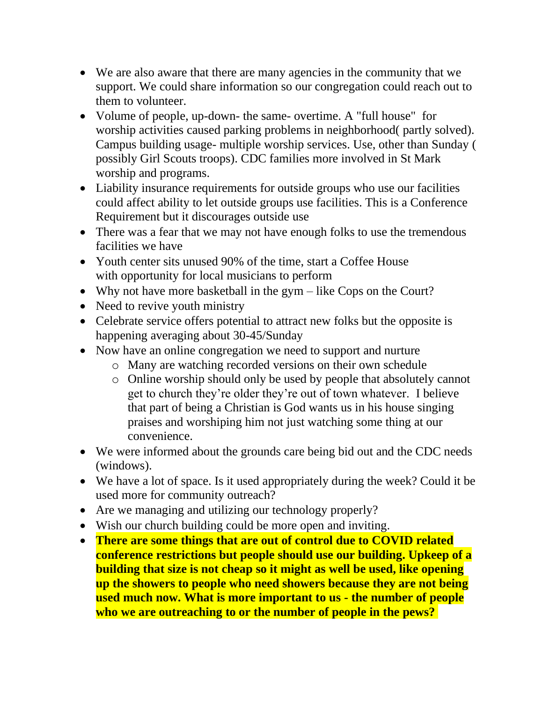- We are also aware that there are many agencies in the community that we support. We could share information so our congregation could reach out to them to volunteer.
- Volume of people, up-down- the same- overtime. A "full house" for worship activities caused parking problems in neighborhood( partly solved). Campus building usage- multiple worship services. Use, other than Sunday ( possibly Girl Scouts troops). CDC families more involved in St Mark worship and programs.
- Liability insurance requirements for outside groups who use our facilities could affect ability to let outside groups use facilities. This is a Conference Requirement but it discourages outside use
- There was a fear that we may not have enough folks to use the tremendous facilities we have
- Youth center sits unused 90% of the time, start a Coffee House with opportunity for local musicians to perform
- Why not have more basketball in the gym like Cops on the Court?
- Need to revive youth ministry
- Celebrate service offers potential to attract new folks but the opposite is happening averaging about 30-45/Sunday
- Now have an online congregation we need to support and nurture
	- o Many are watching recorded versions on their own schedule
	- o Online worship should only be used by people that absolutely cannot get to church they're older they're out of town whatever. I believe that part of being a Christian is God wants us in his house singing praises and worshiping him not just watching some thing at our convenience.
- We were informed about the grounds care being bid out and the CDC needs (windows).
- We have a lot of space. Is it used appropriately during the week? Could it be used more for community outreach?
- Are we managing and utilizing our technology properly?
- Wish our church building could be more open and inviting.
- **There are some things that are out of control due to COVID related conference restrictions but people should use our building. Upkeep of a building that size is not cheap so it might as well be used, like opening up the showers to people who need showers because they are not being used much now. What is more important to us - the number of people who we are outreaching to or the number of people in the pews?**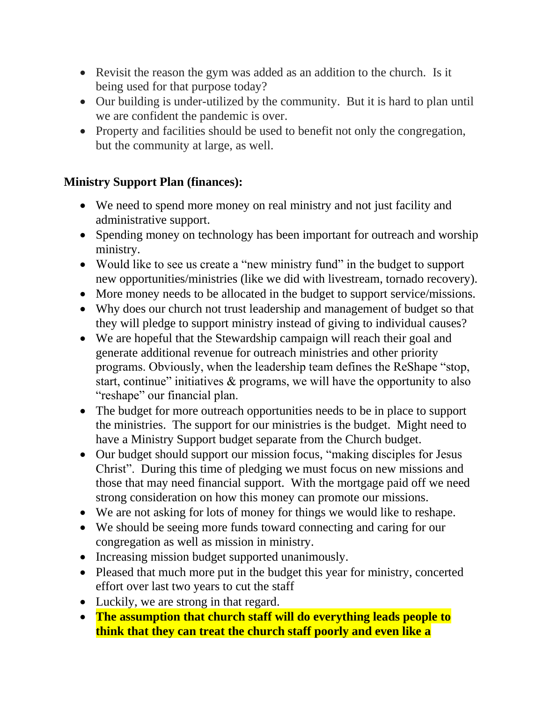- Revisit the reason the gym was added as an addition to the church. Is it being used for that purpose today?
- Our building is under-utilized by the community. But it is hard to plan until we are confident the pandemic is over.
- Property and facilities should be used to benefit not only the congregation, but the community at large, as well.

### **Ministry Support Plan (finances):**

- We need to spend more money on real ministry and not just facility and administrative support.
- Spending money on technology has been important for outreach and worship ministry.
- Would like to see us create a "new ministry fund" in the budget to support new opportunities/ministries (like we did with livestream, tornado recovery).
- More money needs to be allocated in the budget to support service/missions.
- Why does our church not trust leadership and management of budget so that they will pledge to support ministry instead of giving to individual causes?
- We are hopeful that the Stewardship campaign will reach their goal and generate additional revenue for outreach ministries and other priority programs. Obviously, when the leadership team defines the ReShape "stop, start, continue" initiatives & programs, we will have the opportunity to also "reshape" our financial plan.
- The budget for more outreach opportunities needs to be in place to support the ministries. The support for our ministries is the budget. Might need to have a Ministry Support budget separate from the Church budget.
- Our budget should support our mission focus, "making disciples for Jesus Christ". During this time of pledging we must focus on new missions and those that may need financial support. With the mortgage paid off we need strong consideration on how this money can promote our missions.
- We are not asking for lots of money for things we would like to reshape.
- We should be seeing more funds toward connecting and caring for our congregation as well as mission in ministry.
- Increasing mission budget supported unanimously.
- Pleased that much more put in the budget this year for ministry, concerted effort over last two years to cut the staff
- Luckily, we are strong in that regard.
- **The assumption that church staff will do everything leads people to think that they can treat the church staff poorly and even like a**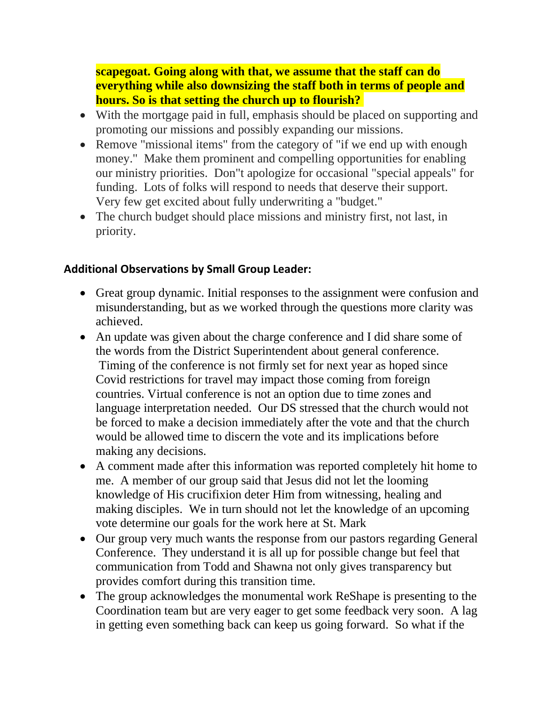**scapegoat. Going along with that, we assume that the staff can do everything while also downsizing the staff both in terms of people and hours. So is that setting the church up to flourish?**

- With the mortgage paid in full, emphasis should be placed on supporting and promoting our missions and possibly expanding our missions.
- Remove "missional items" from the category of "if we end up with enough money." Make them prominent and compelling opportunities for enabling our ministry priorities. Don"t apologize for occasional "special appeals" for funding. Lots of folks will respond to needs that deserve their support. Very few get excited about fully underwriting a "budget."
- The church budget should place missions and ministry first, not last, in priority.

#### **Additional Observations by Small Group Leader:**

- Great group dynamic. Initial responses to the assignment were confusion and misunderstanding, but as we worked through the questions more clarity was achieved.
- An update was given about the charge conference and I did share some of the words from the District Superintendent about general conference. Timing of the conference is not firmly set for next year as hoped since Covid restrictions for travel may impact those coming from foreign countries. Virtual conference is not an option due to time zones and language interpretation needed. Our DS stressed that the church would not be forced to make a decision immediately after the vote and that the church would be allowed time to discern the vote and its implications before making any decisions.
- A comment made after this information was reported completely hit home to me. A member of our group said that Jesus did not let the looming knowledge of His crucifixion deter Him from witnessing, healing and making disciples. We in turn should not let the knowledge of an upcoming vote determine our goals for the work here at St. Mark
- Our group very much wants the response from our pastors regarding General Conference. They understand it is all up for possible change but feel that communication from Todd and Shawna not only gives transparency but provides comfort during this transition time.
- The group acknowledges the monumental work ReShape is presenting to the Coordination team but are very eager to get some feedback very soon. A lag in getting even something back can keep us going forward. So what if the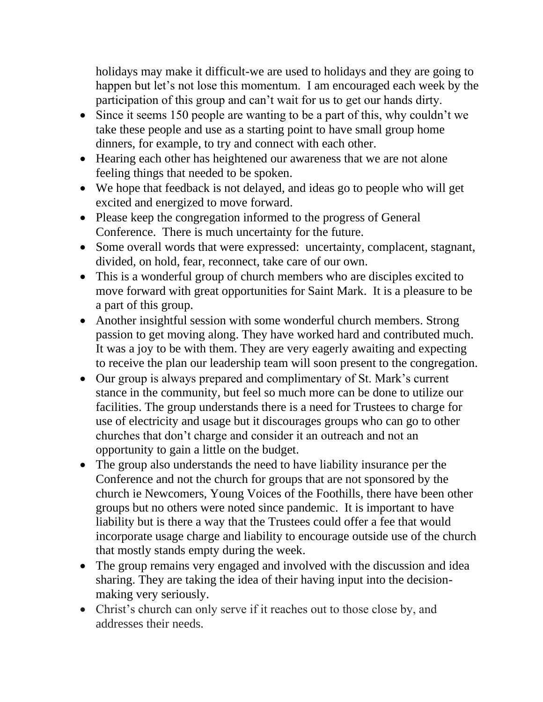holidays may make it difficult-we are used to holidays and they are going to happen but let's not lose this momentum. I am encouraged each week by the participation of this group and can't wait for us to get our hands dirty.

- Since it seems 150 people are wanting to be a part of this, why couldn't we take these people and use as a starting point to have small group home dinners, for example, to try and connect with each other.
- Hearing each other has heightened our awareness that we are not alone feeling things that needed to be spoken.
- We hope that feedback is not delayed, and ideas go to people who will get excited and energized to move forward.
- Please keep the congregation informed to the progress of General Conference. There is much uncertainty for the future.
- Some overall words that were expressed: uncertainty, complacent, stagnant, divided, on hold, fear, reconnect, take care of our own.
- This is a wonderful group of church members who are disciples excited to move forward with great opportunities for Saint Mark. It is a pleasure to be a part of this group.
- Another insightful session with some wonderful church members. Strong passion to get moving along. They have worked hard and contributed much. It was a joy to be with them. They are very eagerly awaiting and expecting to receive the plan our leadership team will soon present to the congregation.
- Our group is always prepared and complimentary of St. Mark's current stance in the community, but feel so much more can be done to utilize our facilities. The group understands there is a need for Trustees to charge for use of electricity and usage but it discourages groups who can go to other churches that don't charge and consider it an outreach and not an opportunity to gain a little on the budget.
- The group also understands the need to have liability insurance per the Conference and not the church for groups that are not sponsored by the church ie Newcomers, Young Voices of the Foothills, there have been other groups but no others were noted since pandemic. It is important to have liability but is there a way that the Trustees could offer a fee that would incorporate usage charge and liability to encourage outside use of the church that mostly stands empty during the week.
- The group remains very engaged and involved with the discussion and idea sharing. They are taking the idea of their having input into the decisionmaking very seriously.
- Christ's church can only serve if it reaches out to those close by, and addresses their needs.